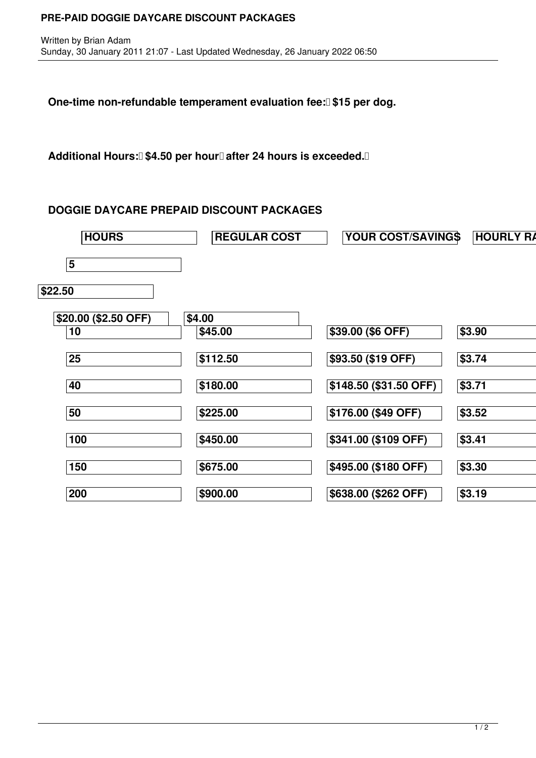## **PRE-PAID DOGGIE DAYCARE DISCOUNT PACKAGES**

**One-time non-refundable temperament evaluation fee:** \$15 per dog.

Additional Hours: 54.50 per hour<sup>n</sup> after 24 hours is exceeded.<sup>1</sup>

## **DOGGIE DAYCARE PREPAID DISCOUNT PACKAGES**

| <b>HOURS</b>            | <b>REGULAR COST</b> | YOUR COST/SAVING\$     | <b>HOURLY RA</b> |
|-------------------------|---------------------|------------------------|------------------|
| $\overline{\mathbf{5}}$ |                     |                        |                  |
| $\sqrt{$22.50}$         |                     |                        |                  |
| \$20.00 (\$2.50 OFF)    | \$4.00              |                        |                  |
| 10                      | \$45.00             | \$39.00 (\$6 OFF)      | \$3.90           |
| 25                      | \$112.50            | \$93.50 (\$19 OFF)     | \$3.74           |
| 40                      | \$180.00            | \$148.50 (\$31.50 OFF) | \$3.71           |
| 50                      | \$225.00            | \$176.00 (\$49 OFF)    | \$3.52           |
| 100                     | \$450.00            | \$341.00 (\$109 OFF)   | \$3.41           |
| 150                     | \$675.00            | \$495.00 (\$180 OFF)   | \$3.30           |
| 200                     | \$900.00            | \$638.00 (\$262 OFF)   | \$3.19           |